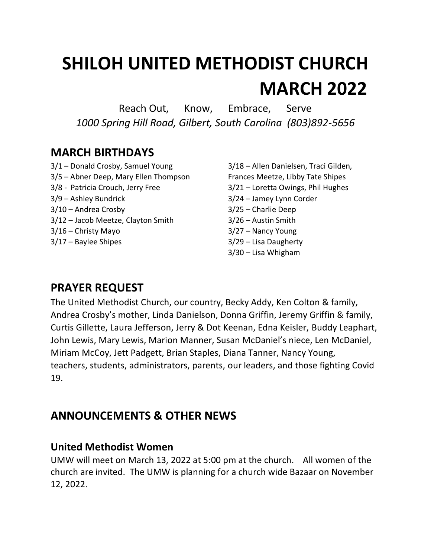# **SHILOH UNITED METHODIST CHURCH MARCH 2022**

Reach Out, Know, Embrace, Serve *1000 Spring Hill Road, Gilbert, South Carolina (803)892-5656*

# **MARCH BIRTHDAYS**

- 3/1 Donald Crosby, Samuel Young 3/18 Allen Danielsen, Traci Gilden, 3/5 – Abner Deep, Mary Ellen Thompson Frances Meetze, Libby Tate Shipes 3/8 - Patricia Crouch, Jerry Free 3/21 – Loretta Owings, Phil Hughes 3/9 – Ashley Bundrick 3/24 – Jamey Lynn Corder 3/10 – Andrea Crosby 3/25 – Charlie Deep 3/12 – Jacob Meetze, Clayton Smith 3/26 – Austin Smith 3/16 – Christy Mayo 3/27 – Nancy Young 3/17 – Baylee Shipes 3/29 – Lisa Daugherty
- 3/30 Lisa Whigham

# **PRAYER REQUEST**

The United Methodist Church, our country, Becky Addy, Ken Colton & family, Andrea Crosby's mother, Linda Danielson, Donna Griffin, Jeremy Griffin & family, Curtis Gillette, Laura Jefferson, Jerry & Dot Keenan, Edna Keisler, Buddy Leaphart, John Lewis, Mary Lewis, Marion Manner, Susan McDaniel's niece, Len McDaniel, Miriam McCoy, Jett Padgett, Brian Staples, Diana Tanner, Nancy Young, teachers, students, administrators, parents, our leaders, and those fighting Covid 19.

# **ANNOUNCEMENTS & OTHER NEWS**

### **United Methodist Women**

UMW will meet on March 13, 2022 at 5:00 pm at the church. All women of the church are invited. The UMW is planning for a church wide Bazaar on November 12, 2022.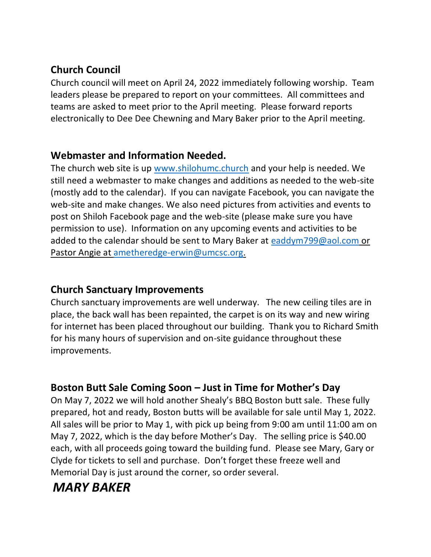## **Church Council**

Church council will meet on April 24, 2022 immediately following worship. Team leaders please be prepared to report on your committees. All committees and teams are asked to meet prior to the April meeting. Please forward reports electronically to Dee Dee Chewning and Mary Baker prior to the April meeting.

#### **Webmaster and Information Needed.**

The church web site is up [www.shilohumc.church](http://www.shilohumc.church/) and your help is needed. We still need a webmaster to make changes and additions as needed to the web-site (mostly add to the calendar). If you can navigate Facebook, you can navigate the web-site and make changes. We also need pictures from activities and events to post on Shiloh Facebook page and the web-site (please make sure you have permission to use). Information on any upcoming events and activities to be added to the calendar should be sent to Mary Baker at [eaddym799@aol.com](mailto:eaddym799@aol.com) or Pastor Angie at [ametheredge-erwin@umcsc.org.](mailto:ametheredge-erwin@umcsc.org)

#### **Church Sanctuary Improvements**

Church sanctuary improvements are well underway. The new ceiling tiles are in place, the back wall has been repainted, the carpet is on its way and new wiring for internet has been placed throughout our building. Thank you to Richard Smith for his many hours of supervision and on-site guidance throughout these improvements.

# **Boston Butt Sale Coming Soon – Just in Time for Mother's Day**

On May 7, 2022 we will hold another Shealy's BBQ Boston butt sale. These fully prepared, hot and ready, Boston butts will be available for sale until May 1, 2022. All sales will be prior to May 1, with pick up being from 9:00 am until 11:00 am on May 7, 2022, which is the day before Mother's Day. The selling price is \$40.00 each, with all proceeds going toward the building fund. Please see Mary, Gary or Clyde for tickets to sell and purchase. Don't forget these freeze well and Memorial Day is just around the corner, so order several.

# *MARY BAKER*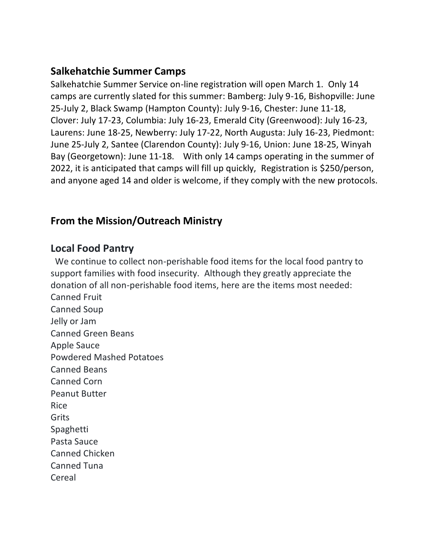#### **Salkehatchie Summer Camps**

Salkehatchie Summer Service on-line registration will open March 1. Only 14 camps are currently slated for this summer: Bamberg: July 9-16, Bishopville: June 25-July 2, Black Swamp (Hampton County): July 9-16, Chester: June 11-18, Clover: July 17-23, Columbia: July 16-23, Emerald City (Greenwood): July 16-23, Laurens: June 18-25, Newberry: July 17-22, North Augusta: July 16-23, Piedmont: June 25-July 2, Santee (Clarendon County): July 9-16, Union: June 18-25, Winyah Bay (Georgetown): June 11-18. With only 14 camps operating in the summer of 2022, it is anticipated that camps will fill up quickly, Registration is \$250/person, and anyone aged 14 and older is welcome, if they comply with the new protocols.

#### **From the Mission/Outreach Ministry**

#### **Local Food Pantry**

 We continue to collect non-perishable food items for the local food pantry to support families with food insecurity. Although they greatly appreciate the donation of all non-perishable food items, here are the items most needed: Canned Fruit Canned Soup Jelly or Jam Canned Green Beans Apple Sauce Powdered Mashed Potatoes Canned Beans Canned Corn Peanut Butter Rice Grits Spaghetti Pasta Sauce Canned Chicken Canned Tuna Cereal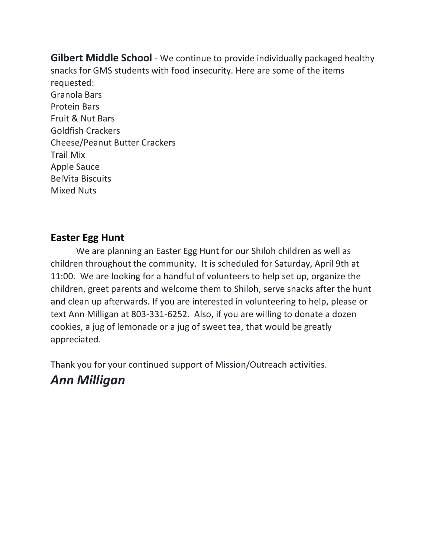**Gilbert Middle School** - We continue to provide individually packaged healthy snacks for GMS students with food insecurity. Here are some of the items requested: Granola Bars Protein Bars Fruit & Nut Bars Goldfish Crackers Cheese/Peanut Butter Crackers Trail Mix Apple Sauce BelVita Biscuits Mixed Nuts

#### **Easter Egg Hunt**

We are planning an Easter Egg Hunt for our Shiloh children as well as children throughout the community. It is scheduled for Saturday, April 9th at 11:00. We are looking for a handful of volunteers to help set up, organize the children, greet parents and welcome them to Shiloh, serve snacks after the hunt and clean up afterwards. If you are interested in volunteering to help, please or text Ann Milligan at 803-331-6252. Also, if you are willing to donate a dozen cookies, a jug of lemonade or a jug of sweet tea, that would be greatly appreciated.

Thank you for your continued support of Mission/Outreach activities. *Ann Milligan*